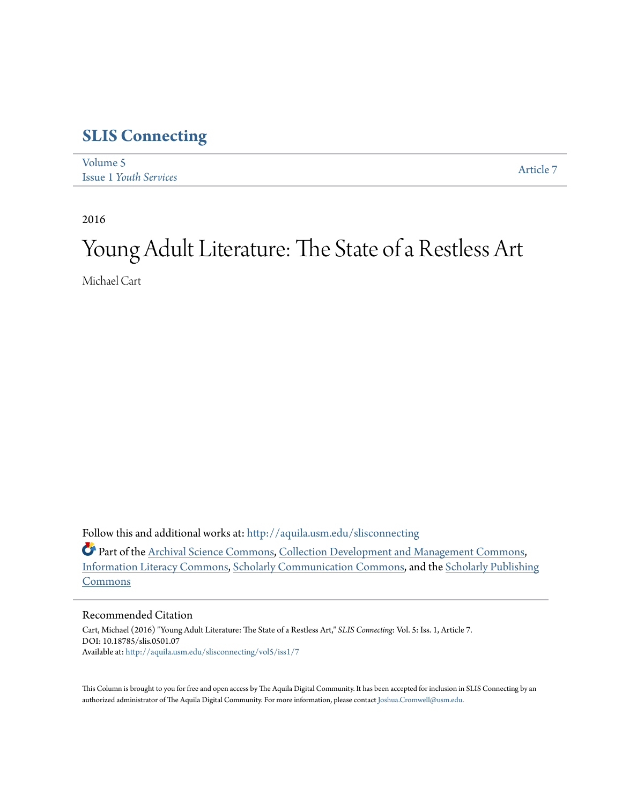## **[SLIS Connecting](http://aquila.usm.edu/slisconnecting?utm_source=aquila.usm.edu%2Fslisconnecting%2Fvol5%2Fiss1%2F7&utm_medium=PDF&utm_campaign=PDFCoverPages)**

| Volume 5                      | Article 7 |
|-------------------------------|-----------|
| <b>Issue 1 Youth Services</b> |           |

2016

## Young Adult Literature: The State of a Restless Art

Michael Cart

Follow this and additional works at: [http://aquila.usm.edu/slisconnecting](http://aquila.usm.edu/slisconnecting?utm_source=aquila.usm.edu%2Fslisconnecting%2Fvol5%2Fiss1%2F7&utm_medium=PDF&utm_campaign=PDFCoverPages)

Part of the [Archival Science Commons,](http://network.bepress.com/hgg/discipline/1021?utm_source=aquila.usm.edu%2Fslisconnecting%2Fvol5%2Fiss1%2F7&utm_medium=PDF&utm_campaign=PDFCoverPages) [Collection Development and Management Commons,](http://network.bepress.com/hgg/discipline/1271?utm_source=aquila.usm.edu%2Fslisconnecting%2Fvol5%2Fiss1%2F7&utm_medium=PDF&utm_campaign=PDFCoverPages) [Information Literacy Commons,](http://network.bepress.com/hgg/discipline/1243?utm_source=aquila.usm.edu%2Fslisconnecting%2Fvol5%2Fiss1%2F7&utm_medium=PDF&utm_campaign=PDFCoverPages) [Scholarly Communication Commons](http://network.bepress.com/hgg/discipline/1272?utm_source=aquila.usm.edu%2Fslisconnecting%2Fvol5%2Fiss1%2F7&utm_medium=PDF&utm_campaign=PDFCoverPages), and the [Scholarly Publishing](http://network.bepress.com/hgg/discipline/1273?utm_source=aquila.usm.edu%2Fslisconnecting%2Fvol5%2Fiss1%2F7&utm_medium=PDF&utm_campaign=PDFCoverPages) [Commons](http://network.bepress.com/hgg/discipline/1273?utm_source=aquila.usm.edu%2Fslisconnecting%2Fvol5%2Fiss1%2F7&utm_medium=PDF&utm_campaign=PDFCoverPages)

## Recommended Citation

Cart, Michael (2016) "Young Adult Literature: The State of a Restless Art," *SLIS Connecting*: Vol. 5: Iss. 1, Article 7. DOI: 10.18785/slis.0501.07 Available at: [http://aquila.usm.edu/slisconnecting/vol5/iss1/7](http://aquila.usm.edu/slisconnecting/vol5/iss1/7?utm_source=aquila.usm.edu%2Fslisconnecting%2Fvol5%2Fiss1%2F7&utm_medium=PDF&utm_campaign=PDFCoverPages)

This Column is brought to you for free and open access by The Aquila Digital Community. It has been accepted for inclusion in SLIS Connecting by an authorized administrator of The Aquila Digital Community. For more information, please contact [Joshua.Cromwell@usm.edu](mailto:Joshua.Cromwell@usm.edu).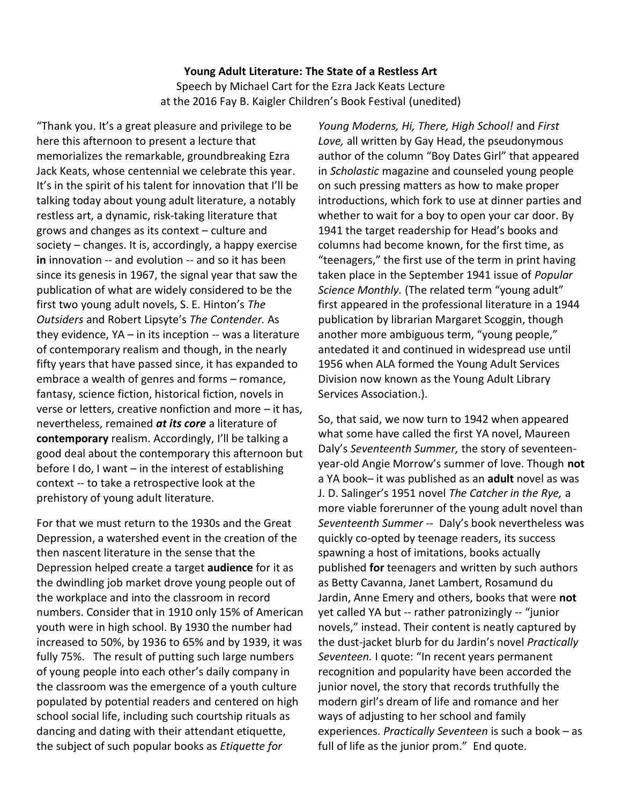## **Young Adult Literature: The State of a Restless Art** Speech by Michael Cart for the Ezra Jack Keats Lecture at the 2016 Fay B. Kaigler Children's Book Festival (unedited)

"Thank you. It's a great pleasure and privilege to be here this afternoon to present a lecture that memorializes the remarkable, groundbreaking Ezra Jack Keats, whose centennial we celebrate this year. It's in the spirit of his talent for innovation that I'll be talking today about young adult literature, a notably restless art, a dynamic, risk-taking literature that grows and changes as its context – culture and society – changes. It is, accordingly, a happy exercise **in** innovation -- and evolution -- and so it has been since its genesis in 1967, the signal year that saw the publication of what are widely considered to be the first two young adult novels, S. E. Hinton's *The Outsiders* and Robert Lipsyte's *The Contender.* As they evidence,  $YA - in$  its inception  $-$  was a literature of contemporary realism and though, in the nearly fifty years that have passed since, it has expanded to embrace a wealth of genres and forms – romance, fantasy, science fiction, historical fiction, novels in verse or letters, creative nonfiction and more – it has, nevertheless, remained *at its core* a literature of **contemporary** realism. Accordingly, I'll be talking a good deal about the contemporary this afternoon but before I do, I want – in the interest of establishing context -- to take a retrospective look at the prehistory of young adult literature.

For that we must return to the 1930s and the Great Depression, a watershed event in the creation of the then nascent literature in the sense that the Depression helped create a target **audience** for it as the dwindling job market drove young people out of the workplace and into the classroom in record numbers. Consider that in 1910 only 15% of American youth were in high school. By 1930 the number had increased to 50%, by 1936 to 65% and by 1939, it was fully 75%. The result of putting such large numbers of young people into each other's daily company in the classroom was the emergence of a youth culture populated by potential readers and centered on high school social life, including such courtship rituals as dancing and dating with their attendant etiquette, the subject of such popular books as *Etiquette for* 

*Young Moderns, Hi, There, High School!* and *First Love,* all written by Gay Head, the pseudonymous author of the column "Boy Dates Girl" that appeared in *Scholastic* magazine and counseled young people on such pressing matters as how to make proper introductions, which fork to use at dinner parties and whether to wait for a boy to open your car door. By 1941 the target readership for Head's books and columns had become known, for the first time, as "teenagers," the first use of the term in print having taken place in the September 1941 issue of *Popular Science Monthly.* (The related term "young adult" first appeared in the professional literature in a 1944 publication by librarian Margaret Scoggin, though another more ambiguous term, "young people," antedated it and continued in widespread use until 1956 when ALA formed the Young Adult Services Division now known as the Young Adult Library Services Association.).

So, that said, we now turn to 1942 when appeared what some have called the first YA novel, Maureen Daly's *Seventeenth Summer,* the story of seventeenyear-old Angie Morrow's summer of love. Though **not** a YA book– it was published as an **adult** novel as was J. D. Salinger's 1951 novel *The Catcher in the Rye,* a more viable forerunner of the young adult novel than *Seventeenth Summer* -- Daly's book nevertheless was quickly co-opted by teenage readers, its success spawning a host of imitations, books actually published **for** teenagers and written by such authors as Betty Cavanna, Janet Lambert, Rosamund du Jardin, Anne Emery and others, books that were **not**  yet called YA but -- rather patronizingly -- "junior novels," instead. Their content is neatly captured by the dust-jacket blurb for du Jardin's novel *Practically Seventeen.* I quote: "In recent years permanent recognition and popularity have been accorded the junior novel, the story that records truthfully the modern girl's dream of life and romance and her ways of adjusting to her school and family experiences. *Practically Seventeen* is such a book – as full of life as the junior prom." End quote.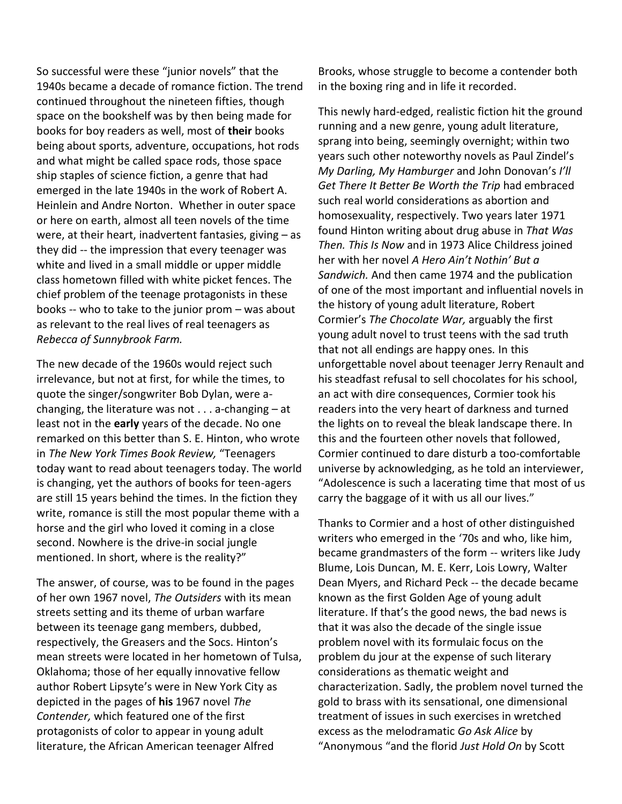So successful were these "junior novels" that the 1940s became a decade of romance fiction. The trend continued throughout the nineteen fifties, though space on the bookshelf was by then being made for books for boy readers as well, most of **their** books being about sports, adventure, occupations, hot rods and what might be called space rods, those space ship staples of science fiction, a genre that had emerged in the late 1940s in the work of Robert A. Heinlein and Andre Norton. Whether in outer space or here on earth, almost all teen novels of the time were, at their heart, inadvertent fantasies, giving – as they did -- the impression that every teenager was white and lived in a small middle or upper middle class hometown filled with white picket fences. The chief problem of the teenage protagonists in these books -- who to take to the junior prom – was about as relevant to the real lives of real teenagers as *Rebecca of Sunnybrook Farm.*

The new decade of the 1960s would reject such irrelevance, but not at first, for while the times, to quote the singer/songwriter Bob Dylan, were achanging, the literature was not  $\dots$  a-changing  $-$  at least not in the **early** years of the decade. No one remarked on this better than S. E. Hinton, who wrote in *The New York Times Book Review,* "Teenagers today want to read about teenagers today. The world is changing, yet the authors of books for teen-agers are still 15 years behind the times. In the fiction they write, romance is still the most popular theme with a horse and the girl who loved it coming in a close second. Nowhere is the drive-in social jungle mentioned. In short, where is the reality?"

The answer, of course, was to be found in the pages of her own 1967 novel, *The Outsiders* with its mean streets setting and its theme of urban warfare between its teenage gang members, dubbed, respectively, the Greasers and the Socs. Hinton's mean streets were located in her hometown of Tulsa, Oklahoma; those of her equally innovative fellow author Robert Lipsyte's were in New York City as depicted in the pages of **his** 1967 novel *The Contender,* which featured one of the first protagonists of color to appear in young adult literature, the African American teenager Alfred

Brooks, whose struggle to become a contender both in the boxing ring and in life it recorded.

This newly hard-edged, realistic fiction hit the ground running and a new genre, young adult literature, sprang into being, seemingly overnight; within two years such other noteworthy novels as Paul Zindel's *My Darling, My Hamburger* and John Donovan's *I'll Get There It Better Be Worth the Trip* had embraced such real world considerations as abortion and homosexuality, respectively. Two years later 1971 found Hinton writing about drug abuse in *That Was Then. This Is Now* and in 1973 Alice Childress joined her with her novel *A Hero Ain't Nothin' But a Sandwich.* And then came 1974 and the publication of one of the most important and influential novels in the history of young adult literature, Robert Cormier's *The Chocolate War,* arguably the first young adult novel to trust teens with the sad truth that not all endings are happy ones*.* In this unforgettable novel about teenager Jerry Renault and his steadfast refusal to sell chocolates for his school, an act with dire consequences, Cormier took his readers into the very heart of darkness and turned the lights on to reveal the bleak landscape there. In this and the fourteen other novels that followed, Cormier continued to dare disturb a too-comfortable universe by acknowledging, as he told an interviewer, "Adolescence is such a lacerating time that most of us carry the baggage of it with us all our lives."

Thanks to Cormier and a host of other distinguished writers who emerged in the '70s and who, like him, became grandmasters of the form -- writers like Judy Blume, Lois Duncan, M. E. Kerr, Lois Lowry, Walter Dean Myers, and Richard Peck -- the decade became known as the first Golden Age of young adult literature. If that's the good news, the bad news is that it was also the decade of the single issue problem novel with its formulaic focus on the problem du jour at the expense of such literary considerations as thematic weight and characterization. Sadly, the problem novel turned the gold to brass with its sensational, one dimensional treatment of issues in such exercises in wretched excess as the melodramatic *Go Ask Alice* by "Anonymous "and the florid *Just Hold On* by Scott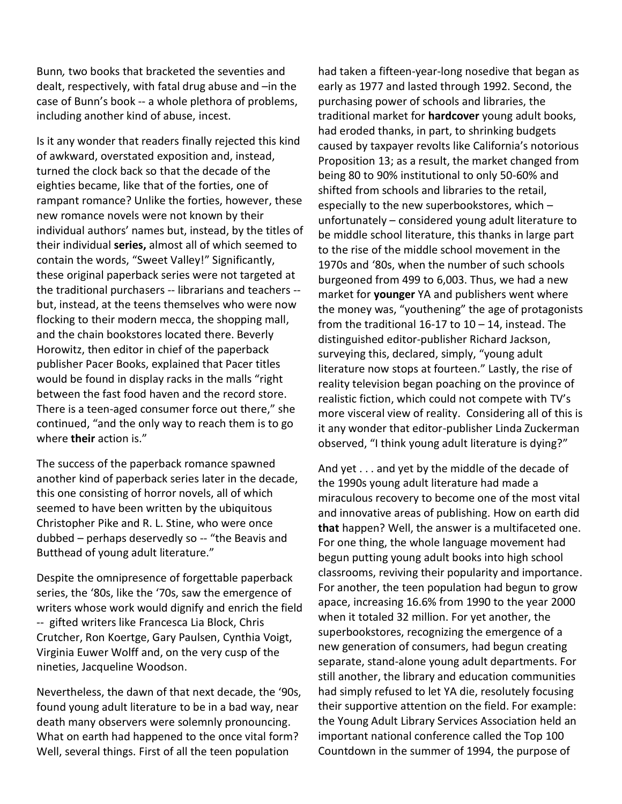Bunn*,* two books that bracketed the seventies and dealt, respectively, with fatal drug abuse and –in the case of Bunn's book -- a whole plethora of problems, including another kind of abuse, incest.

Is it any wonder that readers finally rejected this kind of awkward, overstated exposition and, instead, turned the clock back so that the decade of the eighties became, like that of the forties, one of rampant romance? Unlike the forties, however, these new romance novels were not known by their individual authors' names but, instead, by the titles of their individual **series,** almost all of which seemed to contain the words, "Sweet Valley!" Significantly, these original paperback series were not targeted at the traditional purchasers -- librarians and teachers - but, instead, at the teens themselves who were now flocking to their modern mecca, the shopping mall, and the chain bookstores located there. Beverly Horowitz, then editor in chief of the paperback publisher Pacer Books, explained that Pacer titles would be found in display racks in the malls "right between the fast food haven and the record store. There is a teen-aged consumer force out there," she continued, "and the only way to reach them is to go where **their** action is."

The success of the paperback romance spawned another kind of paperback series later in the decade, this one consisting of horror novels, all of which seemed to have been written by the ubiquitous Christopher Pike and R. L. Stine, who were once dubbed – perhaps deservedly so -- "the Beavis and Butthead of young adult literature."

Despite the omnipresence of forgettable paperback series, the '80s, like the '70s, saw the emergence of writers whose work would dignify and enrich the field -- gifted writers like Francesca Lia Block, Chris Crutcher, Ron Koertge, Gary Paulsen, Cynthia Voigt, Virginia Euwer Wolff and, on the very cusp of the nineties, Jacqueline Woodson.

Nevertheless, the dawn of that next decade, the '90s, found young adult literature to be in a bad way, near death many observers were solemnly pronouncing. What on earth had happened to the once vital form? Well, several things. First of all the teen population

had taken a fifteen-year-long nosedive that began as early as 1977 and lasted through 1992. Second, the purchasing power of schools and libraries, the traditional market for **hardcover** young adult books, had eroded thanks, in part, to shrinking budgets caused by taxpayer revolts like California's notorious Proposition 13; as a result, the market changed from being 80 to 90% institutional to only 50-60% and shifted from schools and libraries to the retail, especially to the new superbookstores, which – unfortunately – considered young adult literature to be middle school literature, this thanks in large part to the rise of the middle school movement in the 1970s and '80s, when the number of such schools burgeoned from 499 to 6,003. Thus, we had a new market for **younger** YA and publishers went where the money was, "youthening" the age of protagonists from the traditional 16-17 to  $10 - 14$ , instead. The distinguished editor-publisher Richard Jackson, surveying this, declared, simply, "young adult literature now stops at fourteen." Lastly, the rise of reality television began poaching on the province of realistic fiction, which could not compete with TV's more visceral view of reality. Considering all of this is it any wonder that editor-publisher Linda Zuckerman observed, "I think young adult literature is dying?"

And yet . . . and yet by the middle of the decade of the 1990s young adult literature had made a miraculous recovery to become one of the most vital and innovative areas of publishing. How on earth did **that** happen? Well, the answer is a multifaceted one. For one thing, the whole language movement had begun putting young adult books into high school classrooms, reviving their popularity and importance. For another, the teen population had begun to grow apace, increasing 16.6% from 1990 to the year 2000 when it totaled 32 million. For yet another, the superbookstores, recognizing the emergence of a new generation of consumers, had begun creating separate, stand-alone young adult departments. For still another, the library and education communities had simply refused to let YA die, resolutely focusing their supportive attention on the field. For example: the Young Adult Library Services Association held an important national conference called the Top 100 Countdown in the summer of 1994, the purpose of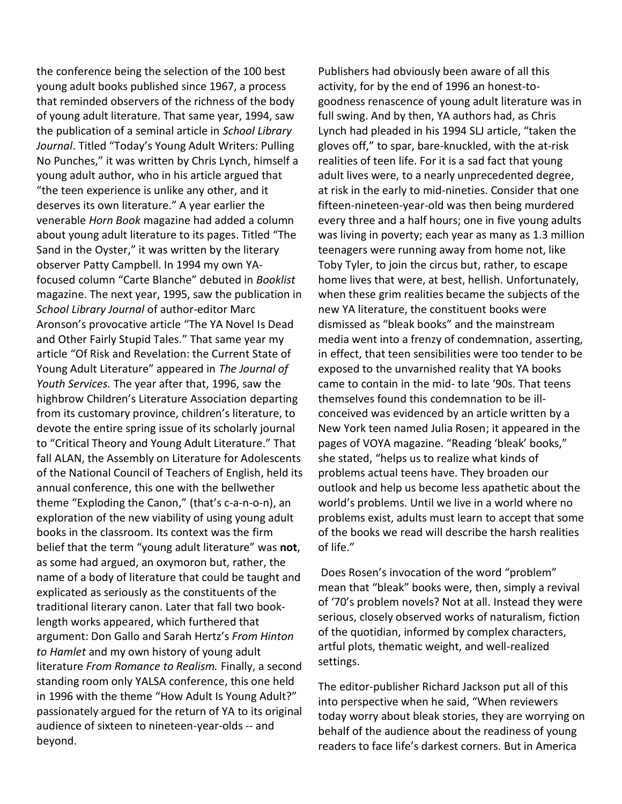the conference being the selection of the 100 best young adult books published since 1967, a process that reminded observers of the richness of the body of young adult literature. That same year, 1994, saw the publication of a seminal article in *School Library Journal*. Titled "Today's Young Adult Writers: Pulling No Punches," it was written by Chris Lynch, himself a young adult author, who in his article argued that "the teen experience is unlike any other, and it deserves its own literature." A year earlier the venerable *Horn Book* magazine had added a column about young adult literature to its pages. Titled "The Sand in the Oyster," it was written by the literary observer Patty Campbell. In 1994 my own YAfocused column "Carte Blanche" debuted in *Booklist* magazine. The next year, 1995, saw the publication in *School Library Journal* of author-editor Marc Aronson's provocative article "The YA Novel Is Dead and Other Fairly Stupid Tales." That same year my article "Of Risk and Revelation: the Current State of Young Adult Literature" appeared in *The Journal of Youth Services.* The year after that, 1996, saw the highbrow Children's Literature Association departing from its customary province, children's literature, to devote the entire spring issue of its scholarly journal to "Critical Theory and Young Adult Literature." That fall ALAN, the Assembly on Literature for Adolescents of the National Council of Teachers of English, held its annual conference, this one with the bellwether theme "Exploding the Canon," (that's c-a-n-o-n), an exploration of the new viability of using young adult books in the classroom. Its context was the firm belief that the term "young adult literature" was **not**, as some had argued, an oxymoron but, rather, the name of a body of literature that could be taught and explicated as seriously as the constituents of the traditional literary canon. Later that fall two booklength works appeared, which furthered that argument: Don Gallo and Sarah Hertz's *From Hinton to Hamlet* and my own history of young adult literature *From Romance to Realism.* Finally, a second standing room only YALSA conference, this one held in 1996 with the theme "How Adult Is Young Adult?" passionately argued for the return of YA to its original audience of sixteen to nineteen-year-olds -- and beyond.

Publishers had obviously been aware of all this activity, for by the end of 1996 an honest-togoodness renascence of young adult literature was in full swing. And by then, YA authors had, as Chris Lynch had pleaded in his 1994 SLJ article, "taken the gloves off," to spar, bare-knuckled, with the at-risk realities of teen life. For it is a sad fact that young adult lives were, to a nearly unprecedented degree, at risk in the early to mid-nineties. Consider that one fifteen-nineteen-year-old was then being murdered every three and a half hours; one in five young adults was living in poverty; each year as many as 1.3 million teenagers were running away from home not, like Toby Tyler, to join the circus but, rather, to escape home lives that were, at best, hellish. Unfortunately, when these grim realities became the subjects of the new YA literature, the constituent books were dismissed as "bleak books" and the mainstream media went into a frenzy of condemnation, asserting, in effect, that teen sensibilities were too tender to be exposed to the unvarnished reality that YA books came to contain in the mid- to late '90s. That teens themselves found this condemnation to be illconceived was evidenced by an article written by a New York teen named Julia Rosen; it appeared in the pages of VOYA magazine. "Reading 'bleak' books," she stated, "helps us to realize what kinds of problems actual teens have. They broaden our outlook and help us become less apathetic about the world's problems. Until we live in a world where no problems exist, adults must learn to accept that some of the books we read will describe the harsh realities of life."

Does Rosen's invocation of the word "problem" mean that "bleak" books were, then, simply a revival of '70's problem novels? Not at all. Instead they were serious, closely observed works of naturalism, fiction of the quotidian, informed by complex characters, artful plots, thematic weight, and well-realized settings.

The editor-publisher Richard Jackson put all of this into perspective when he said, "When reviewers today worry about bleak stories, they are worrying on behalf of the audience about the readiness of young readers to face life's darkest corners. But in America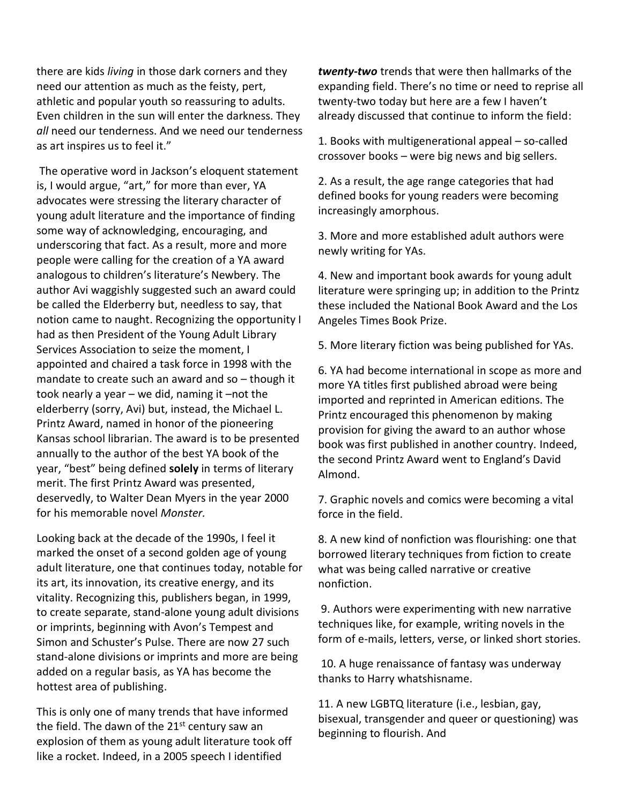there are kids *living* in those dark corners and they need our attention as much as the feisty, pert, athletic and popular youth so reassuring to adults. Even children in the sun will enter the darkness. They *all* need our tenderness. And we need our tenderness as art inspires us to feel it."

The operative word in Jackson's eloquent statement is, I would argue, "art," for more than ever, YA advocates were stressing the literary character of young adult literature and the importance of finding some way of acknowledging, encouraging, and underscoring that fact. As a result, more and more people were calling for the creation of a YA award analogous to children's literature's Newbery. The author Avi waggishly suggested such an award could be called the Elderberry but, needless to say, that notion came to naught. Recognizing the opportunity I had as then President of the Young Adult Library Services Association to seize the moment, I appointed and chaired a task force in 1998 with the mandate to create such an award and so – though it took nearly a year – we did, naming it –not the elderberry (sorry, Avi) but, instead, the Michael L. Printz Award, named in honor of the pioneering Kansas school librarian. The award is to be presented annually to the author of the best YA book of the year, "best" being defined **solely** in terms of literary merit. The first Printz Award was presented, deservedly, to Walter Dean Myers in the year 2000 for his memorable novel *Monster.*

Looking back at the decade of the 1990s, I feel it marked the onset of a second golden age of young adult literature, one that continues today, notable for its art, its innovation, its creative energy, and its vitality. Recognizing this, publishers began, in 1999, to create separate, stand-alone young adult divisions or imprints, beginning with Avon's Tempest and Simon and Schuster's Pulse. There are now 27 such stand-alone divisions or imprints and more are being added on a regular basis, as YA has become the hottest area of publishing.

This is only one of many trends that have informed the field. The dawn of the  $21^{st}$  century saw an explosion of them as young adult literature took off like a rocket. Indeed, in a 2005 speech I identified

*twenty-two* trends that were then hallmarks of the expanding field. There's no time or need to reprise all twenty-two today but here are a few I haven't already discussed that continue to inform the field:

1. Books with multigenerational appeal – so-called crossover books – were big news and big sellers.

2. As a result, the age range categories that had defined books for young readers were becoming increasingly amorphous.

3. More and more established adult authors were newly writing for YAs.

4. New and important book awards for young adult literature were springing up; in addition to the Printz these included the National Book Award and the Los Angeles Times Book Prize.

5. More literary fiction was being published for YAs.

6. YA had become international in scope as more and more YA titles first published abroad were being imported and reprinted in American editions. The Printz encouraged this phenomenon by making provision for giving the award to an author whose book was first published in another country. Indeed, the second Printz Award went to England's David Almond.

7. Graphic novels and comics were becoming a vital force in the field.

8. A new kind of nonfiction was flourishing: one that borrowed literary techniques from fiction to create what was being called narrative or creative nonfiction.

9. Authors were experimenting with new narrative techniques like, for example, writing novels in the form of e-mails, letters, verse, or linked short stories.

10. A huge renaissance of fantasy was underway thanks to Harry whatshisname.

11. A new LGBTQ literature (i.e., lesbian, gay, bisexual, transgender and queer or questioning) was beginning to flourish. And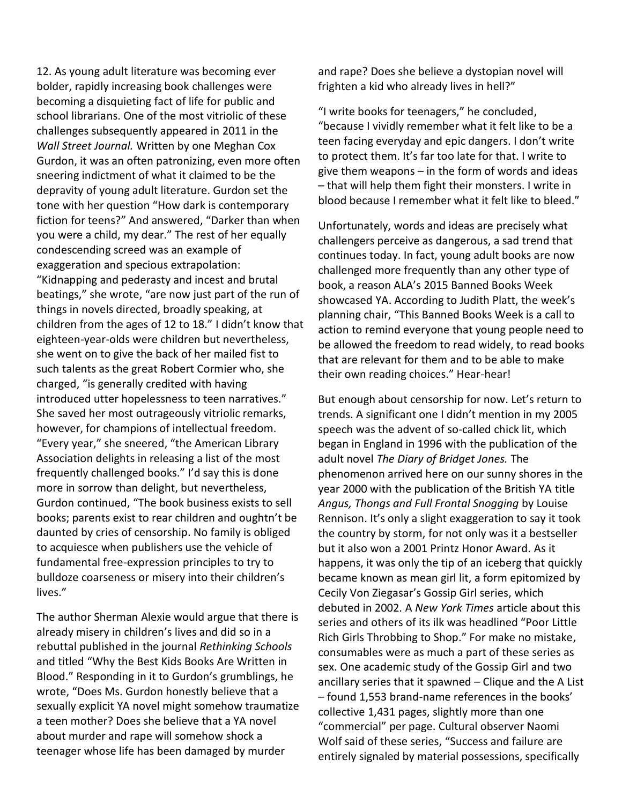12. As young adult literature was becoming ever bolder, rapidly increasing book challenges were becoming a disquieting fact of life for public and school librarians. One of the most vitriolic of these challenges subsequently appeared in 2011 in the *Wall Street Journal.* Written by one Meghan Cox Gurdon, it was an often patronizing, even more often sneering indictment of what it claimed to be the depravity of young adult literature. Gurdon set the tone with her question "How dark is contemporary fiction for teens?" And answered, "Darker than when you were a child, my dear." The rest of her equally condescending screed was an example of exaggeration and specious extrapolation: "Kidnapping and pederasty and incest and brutal beatings," she wrote, "are now just part of the run of things in novels directed, broadly speaking, at children from the ages of 12 to 18." I didn't know that eighteen-year-olds were children but nevertheless, she went on to give the back of her mailed fist to such talents as the great Robert Cormier who, she charged, "is generally credited with having introduced utter hopelessness to teen narratives." She saved her most outrageously vitriolic remarks, however, for champions of intellectual freedom. "Every year," she sneered, "the American Library Association delights in releasing a list of the most frequently challenged books." I'd say this is done more in sorrow than delight, but nevertheless, Gurdon continued, "The book business exists to sell books; parents exist to rear children and oughtn't be daunted by cries of censorship. No family is obliged to acquiesce when publishers use the vehicle of fundamental free-expression principles to try to bulldoze coarseness or misery into their children's lives."

The author Sherman Alexie would argue that there is already misery in children's lives and did so in a rebuttal published in the journal *Rethinking Schools* and titled "Why the Best Kids Books Are Written in Blood." Responding in it to Gurdon's grumblings, he wrote, "Does Ms. Gurdon honestly believe that a sexually explicit YA novel might somehow traumatize a teen mother? Does she believe that a YA novel about murder and rape will somehow shock a teenager whose life has been damaged by murder

and rape? Does she believe a dystopian novel will frighten a kid who already lives in hell?"

"I write books for teenagers," he concluded, "because I vividly remember what it felt like to be a teen facing everyday and epic dangers. I don't write to protect them. It's far too late for that. I write to give them weapons – in the form of words and ideas – that will help them fight their monsters. I write in blood because I remember what it felt like to bleed."

Unfortunately, words and ideas are precisely what challengers perceive as dangerous, a sad trend that continues today. In fact, young adult books are now challenged more frequently than any other type of book, a reason ALA's 2015 Banned Books Week showcased YA. According to Judith Platt, the week's planning chair, "This Banned Books Week is a call to action to remind everyone that young people need to be allowed the freedom to read widely, to read books that are relevant for them and to be able to make their own reading choices." Hear-hear!

But enough about censorship for now. Let's return to trends. A significant one I didn't mention in my 2005 speech was the advent of so-called chick lit, which began in England in 1996 with the publication of the adult novel *The Diary of Bridget Jones.* The phenomenon arrived here on our sunny shores in the year 2000 with the publication of the British YA title *Angus, Thongs and Full Frontal Snogging* by Louise Rennison. It's only a slight exaggeration to say it took the country by storm, for not only was it a bestseller but it also won a 2001 Printz Honor Award. As it happens, it was only the tip of an iceberg that quickly became known as mean girl lit, a form epitomized by Cecily Von Ziegasar's Gossip Girl series, which debuted in 2002. A *New York Times* article about this series and others of its ilk was headlined "Poor Little Rich Girls Throbbing to Shop." For make no mistake, consumables were as much a part of these series as sex. One academic study of the Gossip Girl and two ancillary series that it spawned – Clique and the A List – found 1,553 brand-name references in the books' collective 1,431 pages, slightly more than one "commercial" per page. Cultural observer Naomi Wolf said of these series, "Success and failure are entirely signaled by material possessions, specifically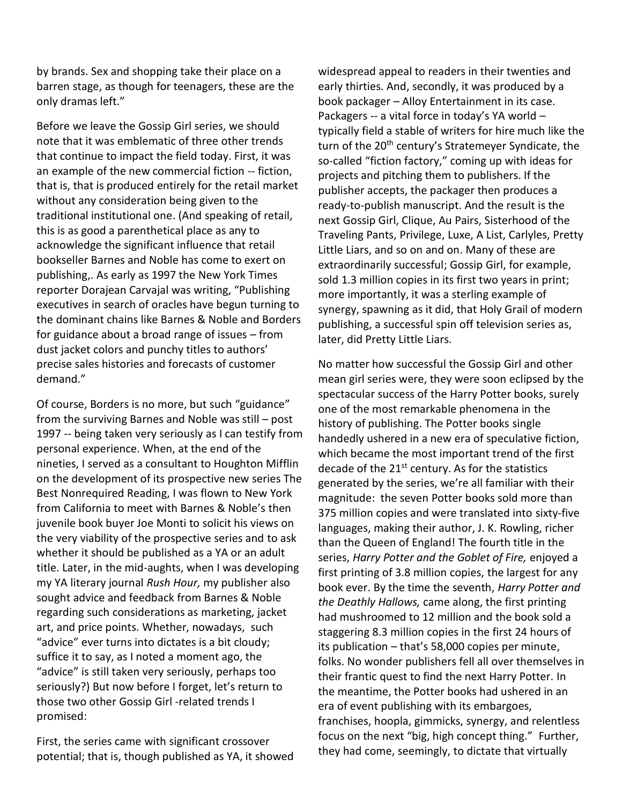by brands. Sex and shopping take their place on a barren stage, as though for teenagers, these are the only dramas left."

Before we leave the Gossip Girl series, we should note that it was emblematic of three other trends that continue to impact the field today. First, it was an example of the new commercial fiction -- fiction, that is, that is produced entirely for the retail market without any consideration being given to the traditional institutional one. (And speaking of retail, this is as good a parenthetical place as any to acknowledge the significant influence that retail bookseller Barnes and Noble has come to exert on publishing,. As early as 1997 the New York Times reporter Dorajean Carvajal was writing, "Publishing executives in search of oracles have begun turning to the dominant chains like Barnes & Noble and Borders for guidance about a broad range of issues – from dust jacket colors and punchy titles to authors' precise sales histories and forecasts of customer demand."

Of course, Borders is no more, but such "guidance" from the surviving Barnes and Noble was still – post 1997 -- being taken very seriously as I can testify from personal experience. When, at the end of the nineties, I served as a consultant to Houghton Mifflin on the development of its prospective new series The Best Nonrequired Reading, I was flown to New York from California to meet with Barnes & Noble's then juvenile book buyer Joe Monti to solicit his views on the very viability of the prospective series and to ask whether it should be published as a YA or an adult title. Later, in the mid-aughts, when I was developing my YA literary journal *Rush Hour,* my publisher also sought advice and feedback from Barnes & Noble regarding such considerations as marketing, jacket art, and price points. Whether, nowadays, such "advice" ever turns into dictates is a bit cloudy; suffice it to say, as I noted a moment ago, the "advice" is still taken very seriously, perhaps too seriously?) But now before I forget, let's return to those two other Gossip Girl -related trends I promised:

First, the series came with significant crossover potential; that is, though published as YA, it showed widespread appeal to readers in their twenties and early thirties. And, secondly, it was produced by a book packager – Alloy Entertainment in its case. Packagers -- a vital force in today's YA world – typically field a stable of writers for hire much like the turn of the 20<sup>th</sup> century's Stratemeyer Syndicate, the so-called "fiction factory," coming up with ideas for projects and pitching them to publishers. If the publisher accepts, the packager then produces a ready-to-publish manuscript. And the result is the next Gossip Girl, Clique, Au Pairs, Sisterhood of the Traveling Pants, Privilege, Luxe, A List, Carlyles, Pretty Little Liars, and so on and on. Many of these are extraordinarily successful; Gossip Girl, for example, sold 1.3 million copies in its first two years in print; more importantly, it was a sterling example of synergy, spawning as it did, that Holy Grail of modern publishing, a successful spin off television series as, later, did Pretty Little Liars.

No matter how successful the Gossip Girl and other mean girl series were, they were soon eclipsed by the spectacular success of the Harry Potter books, surely one of the most remarkable phenomena in the history of publishing. The Potter books single handedly ushered in a new era of speculative fiction, which became the most important trend of the first decade of the 21<sup>st</sup> century. As for the statistics generated by the series, we're all familiar with their magnitude: the seven Potter books sold more than 375 million copies and were translated into sixty-five languages, making their author, J. K. Rowling, richer than the Queen of England! The fourth title in the series, *Harry Potter and the Goblet of Fire,* enjoyed a first printing of 3.8 million copies, the largest for any book ever. By the time the seventh, *Harry Potter and the Deathly Hallows,* came along, the first printing had mushroomed to 12 million and the book sold a staggering 8.3 million copies in the first 24 hours of its publication – that's 58,000 copies per minute, folks. No wonder publishers fell all over themselves in their frantic quest to find the next Harry Potter. In the meantime, the Potter books had ushered in an era of event publishing with its embargoes, franchises, hoopla, gimmicks, synergy, and relentless focus on the next "big, high concept thing." Further, they had come, seemingly, to dictate that virtually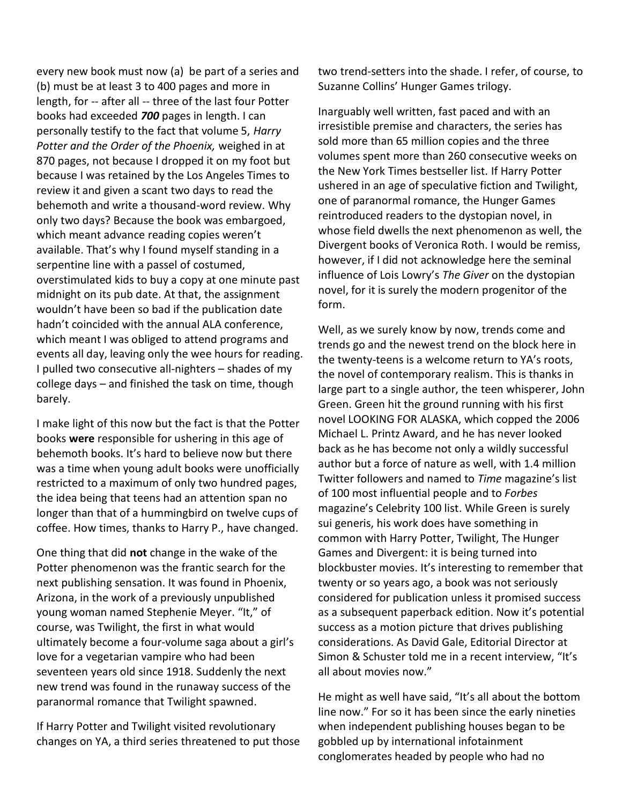every new book must now (a) be part of a series and (b) must be at least 3 to 400 pages and more in length, for -- after all -- three of the last four Potter books had exceeded *700* pages in length. I can personally testify to the fact that volume 5, *Harry Potter and the Order of the Phoenix,* weighed in at 870 pages, not because I dropped it on my foot but because I was retained by the Los Angeles Times to review it and given a scant two days to read the behemoth and write a thousand-word review. Why only two days? Because the book was embargoed, which meant advance reading copies weren't available. That's why I found myself standing in a serpentine line with a passel of costumed, overstimulated kids to buy a copy at one minute past midnight on its pub date. At that, the assignment wouldn't have been so bad if the publication date hadn't coincided with the annual ALA conference, which meant I was obliged to attend programs and events all day, leaving only the wee hours for reading. I pulled two consecutive all-nighters – shades of my college days – and finished the task on time, though barely.

I make light of this now but the fact is that the Potter books **were** responsible for ushering in this age of behemoth books. It's hard to believe now but there was a time when young adult books were unofficially restricted to a maximum of only two hundred pages, the idea being that teens had an attention span no longer than that of a hummingbird on twelve cups of coffee. How times, thanks to Harry P., have changed.

One thing that did **not** change in the wake of the Potter phenomenon was the frantic search for the next publishing sensation. It was found in Phoenix, Arizona, in the work of a previously unpublished young woman named Stephenie Meyer. "It," of course, was Twilight, the first in what would ultimately become a four-volume saga about a girl's love for a vegetarian vampire who had been seventeen years old since 1918. Suddenly the next new trend was found in the runaway success of the paranormal romance that Twilight spawned.

If Harry Potter and Twilight visited revolutionary changes on YA, a third series threatened to put those two trend-setters into the shade. I refer, of course, to Suzanne Collins' Hunger Games trilogy.

Inarguably well written, fast paced and with an irresistible premise and characters, the series has sold more than 65 million copies and the three volumes spent more than 260 consecutive weeks on the New York Times bestseller list. If Harry Potter ushered in an age of speculative fiction and Twilight, one of paranormal romance, the Hunger Games reintroduced readers to the dystopian novel, in whose field dwells the next phenomenon as well, the Divergent books of Veronica Roth. I would be remiss, however, if I did not acknowledge here the seminal influence of Lois Lowry's *The Giver* on the dystopian novel, for it is surely the modern progenitor of the form.

Well, as we surely know by now, trends come and trends go and the newest trend on the block here in the twenty-teens is a welcome return to YA's roots, the novel of contemporary realism. This is thanks in large part to a single author, the teen whisperer, John Green. Green hit the ground running with his first novel LOOKING FOR ALASKA, which copped the 2006 Michael L. Printz Award, and he has never looked back as he has become not only a wildly successful author but a force of nature as well, with 1.4 million Twitter followers and named to *Time* magazine's list of 100 most influential people and to *Forbes*  magazine's Celebrity 100 list. While Green is surely sui generis, his work does have something in common with Harry Potter, Twilight, The Hunger Games and Divergent: it is being turned into blockbuster movies. It's interesting to remember that twenty or so years ago, a book was not seriously considered for publication unless it promised success as a subsequent paperback edition. Now it's potential success as a motion picture that drives publishing considerations. As David Gale, Editorial Director at Simon & Schuster told me in a recent interview, "It's all about movies now."

He might as well have said, "It's all about the bottom line now." For so it has been since the early nineties when independent publishing houses began to be gobbled up by international infotainment conglomerates headed by people who had no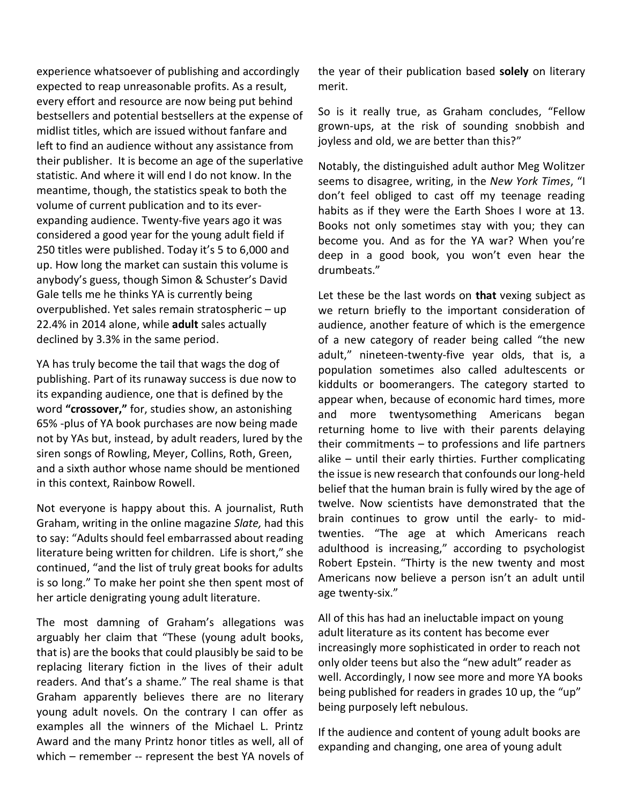experience whatsoever of publishing and accordingly expected to reap unreasonable profits. As a result, every effort and resource are now being put behind bestsellers and potential bestsellers at the expense of midlist titles, which are issued without fanfare and left to find an audience without any assistance from their publisher. It is become an age of the superlative statistic. And where it will end I do not know. In the meantime, though, the statistics speak to both the volume of current publication and to its everexpanding audience. Twenty-five years ago it was considered a good year for the young adult field if 250 titles were published. Today it's 5 to 6,000 and up. How long the market can sustain this volume is anybody's guess, though Simon & Schuster's David Gale tells me he thinks YA is currently being overpublished. Yet sales remain stratospheric – up 22.4% in 2014 alone, while **adult** sales actually declined by 3.3% in the same period.

YA has truly become the tail that wags the dog of publishing. Part of its runaway success is due now to its expanding audience, one that is defined by the word **"crossover,"** for, studies show, an astonishing 65% -plus of YA book purchases are now being made not by YAs but, instead, by adult readers, lured by the siren songs of Rowling, Meyer, Collins, Roth, Green, and a sixth author whose name should be mentioned in this context, Rainbow Rowell.

Not everyone is happy about this. A journalist, Ruth Graham, writing in the online magazine *Slate,* had this to say: "Adults should feel embarrassed about reading literature being written for children. Life is short," she continued, "and the list of truly great books for adults is so long." To make her point she then spent most of her article denigrating young adult literature.

The most damning of Graham's allegations was arguably her claim that "These (young adult books, that is) are the books that could plausibly be said to be replacing literary fiction in the lives of their adult readers. And that's a shame." The real shame is that Graham apparently believes there are no literary young adult novels. On the contrary I can offer as examples all the winners of the Michael L. Printz Award and the many Printz honor titles as well, all of which – remember -- represent the best YA novels of the year of their publication based **solely** on literary merit.

So is it really true, as Graham concludes, "Fellow grown-ups, at the risk of sounding snobbish and joyless and old, we are better than this?"

Notably, the distinguished adult author Meg Wolitzer seems to disagree, writing, in the *New York Times*, "I don't feel obliged to cast off my teenage reading habits as if they were the Earth Shoes I wore at 13. Books not only sometimes stay with you; they can become you. And as for the YA war? When you're deep in a good book, you won't even hear the drumbeats."

Let these be the last words on **that** vexing subject as we return briefly to the important consideration of audience, another feature of which is the emergence of a new category of reader being called "the new adult," nineteen-twenty-five year olds, that is, a population sometimes also called adultescents or kiddults or boomerangers. The category started to appear when, because of economic hard times, more and more twentysomething Americans began returning home to live with their parents delaying their commitments – to professions and life partners alike – until their early thirties. Further complicating the issue is new research that confounds our long-held belief that the human brain is fully wired by the age of twelve. Now scientists have demonstrated that the brain continues to grow until the early- to midtwenties. "The age at which Americans reach adulthood is increasing," according to psychologist Robert Epstein. "Thirty is the new twenty and most Americans now believe a person isn't an adult until age twenty-six."

All of this has had an ineluctable impact on young adult literature as its content has become ever increasingly more sophisticated in order to reach not only older teens but also the "new adult" reader as well. Accordingly, I now see more and more YA books being published for readers in grades 10 up, the "up" being purposely left nebulous.

If the audience and content of young adult books are expanding and changing, one area of young adult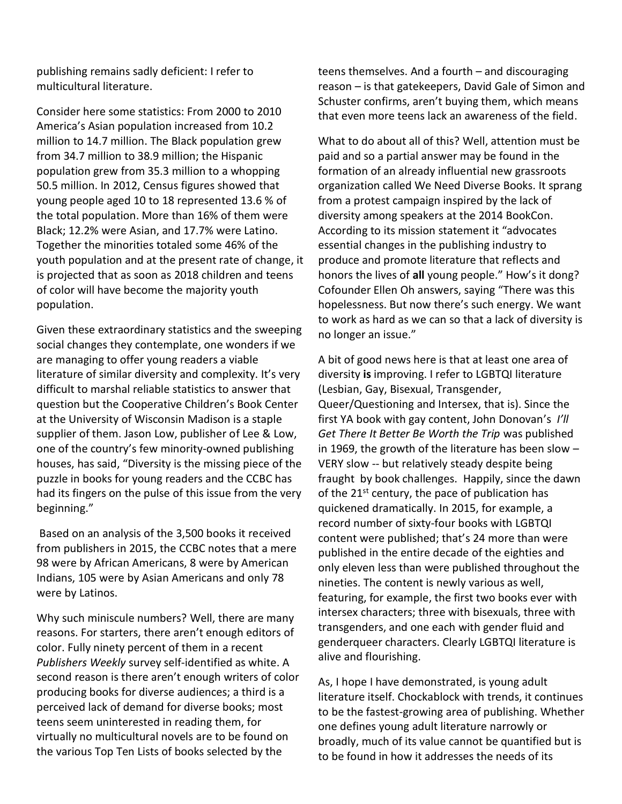publishing remains sadly deficient: I refer to multicultural literature.

Consider here some statistics: From 2000 to 2010 America's Asian population increased from 10.2 million to 14.7 million. The Black population grew from 34.7 million to 38.9 million; the Hispanic population grew from 35.3 million to a whopping 50.5 million. In 2012, Census figures showed that young people aged 10 to 18 represented 13.6 % of the total population. More than 16% of them were Black; 12.2% were Asian, and 17.7% were Latino. Together the minorities totaled some 46% of the youth population and at the present rate of change, it is projected that as soon as 2018 children and teens of color will have become the majority youth population.

Given these extraordinary statistics and the sweeping social changes they contemplate, one wonders if we are managing to offer young readers a viable literature of similar diversity and complexity. It's very difficult to marshal reliable statistics to answer that question but the Cooperative Children's Book Center at the University of Wisconsin Madison is a staple supplier of them. Jason Low, publisher of Lee & Low, one of the country's few minority-owned publishing houses, has said, "Diversity is the missing piece of the puzzle in books for young readers and the CCBC has had its fingers on the pulse of this issue from the very beginning."

Based on an analysis of the 3,500 books it received from publishers in 2015, the CCBC notes that a mere 98 were by African Americans, 8 were by American Indians, 105 were by Asian Americans and only 78 were by Latinos.

Why such miniscule numbers? Well, there are many reasons. For starters, there aren't enough editors of color. Fully ninety percent of them in a recent *Publishers Weekly* survey self-identified as white. A second reason is there aren't enough writers of color producing books for diverse audiences; a third is a perceived lack of demand for diverse books; most teens seem uninterested in reading them, for virtually no multicultural novels are to be found on the various Top Ten Lists of books selected by the

teens themselves. And a fourth – and discouraging reason – is that gatekeepers, David Gale of Simon and Schuster confirms, aren't buying them, which means that even more teens lack an awareness of the field.

What to do about all of this? Well, attention must be paid and so a partial answer may be found in the formation of an already influential new grassroots organization called We Need Diverse Books. It sprang from a protest campaign inspired by the lack of diversity among speakers at the 2014 BookCon. According to its mission statement it "advocates essential changes in the publishing industry to produce and promote literature that reflects and honors the lives of **all** young people." How's it dong? Cofounder Ellen Oh answers, saying "There was this hopelessness. But now there's such energy. We want to work as hard as we can so that a lack of diversity is no longer an issue."

A bit of good news here is that at least one area of diversity **is** improving. I refer to LGBTQI literature (Lesbian, Gay, Bisexual, Transgender, Queer/Questioning and Intersex, that is). Since the first YA book with gay content, John Donovan's *I'll Get There It Better Be Worth the Trip* was published in 1969, the growth of the literature has been slow – VERY slow -- but relatively steady despite being fraught by book challenges. Happily, since the dawn of the  $21^{st}$  century, the pace of publication has quickened dramatically. In 2015, for example, a record number of sixty-four books with LGBTQI content were published; that's 24 more than were published in the entire decade of the eighties and only eleven less than were published throughout the nineties. The content is newly various as well, featuring, for example, the first two books ever with intersex characters; three with bisexuals, three with transgenders, and one each with gender fluid and genderqueer characters. Clearly LGBTQI literature is alive and flourishing.

As, I hope I have demonstrated, is young adult literature itself. Chockablock with trends, it continues to be the fastest-growing area of publishing. Whether one defines young adult literature narrowly or broadly, much of its value cannot be quantified but is to be found in how it addresses the needs of its